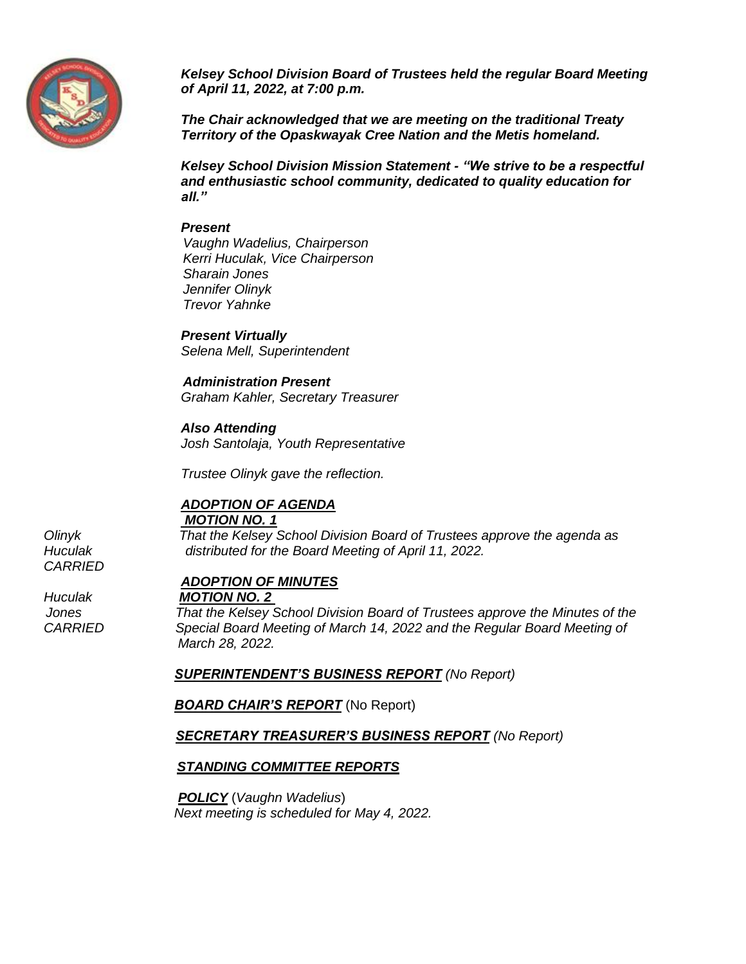

*Kelsey School Division Board of Trustees held the regular Board Meeting of April 11, 2022, at 7:00 p.m.*

*The Chair acknowledged that we are meeting on the traditional Treaty Territory of the Opaskwayak Cree Nation and the Metis homeland.*

*Kelsey School Division Mission Statement - "We strive to be a respectful and enthusiastic school community, dedicated to quality education for all."*

#### *Present*

 *Vaughn Wadelius, Chairperson Kerri Huculak, Vice Chairperson Sharain Jones Jennifer Olinyk Trevor Yahnke* 

*Present Virtually Selena Mell, Superintendent*

 *Administration Present Graham Kahler, Secretary Treasurer*

*Also Attending*

*Josh Santolaja, Youth Representative* 

*Trustee Olinyk gave the reflection.* 

#### *ADOPTION OF AGENDA MOTION NO. 1*

*Olinyk That the Kelsey School Division Board of Trustees approve the agenda as Huculak distributed for the Board Meeting of April 11, 2022.*

*ADOPTION OF MINUTES*

*Huculak MOTION NO. 2* 

 *Jones That the Kelsey School Division Board of Trustees approve the Minutes of the* Special Board Meeting of March 14, 2022 and the Regular Board Meeting of  *March 28, 2022.* 

 *SUPERINTENDENT'S BUSINESS REPORT (No Report)*

**BOARD CHAIR'S REPORT** (No Report)

*SECRETARY TREASURER'S BUSINESS REPORT (No Report)*

## *STANDING COMMITTEE REPORTS*

 *POLICY* (*Vaughn Wadelius*) *Next meeting is scheduled for May 4, 2022.*

*CARRIED*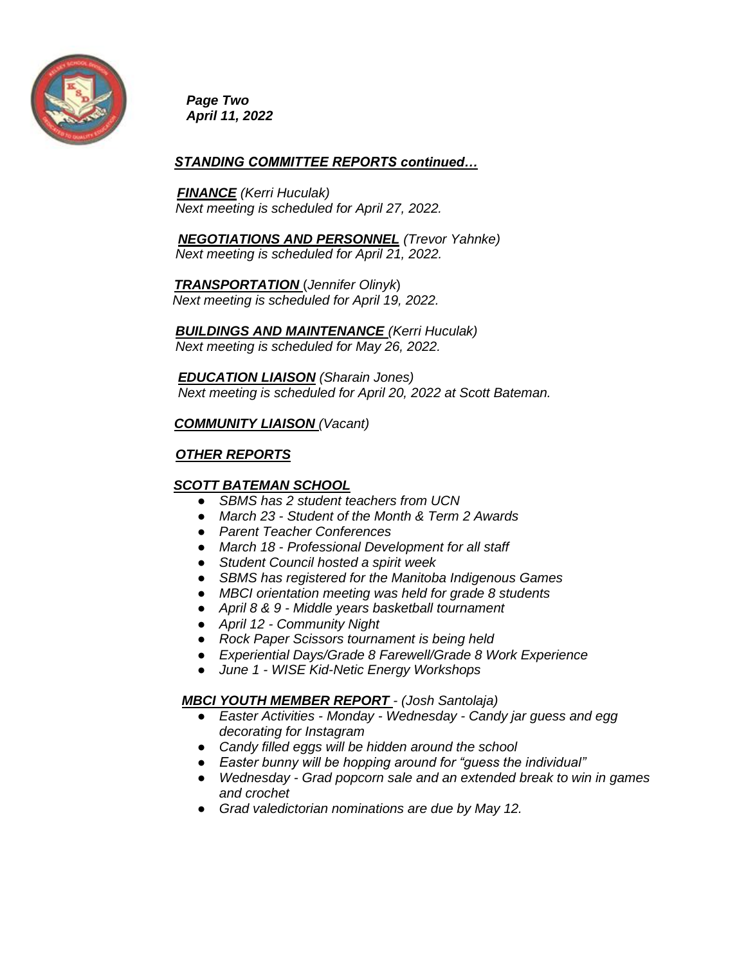

*Page Two April 11, 2022*

### *STANDING COMMITTEE REPORTS continued…*

 *FINANCE (Kerri Huculak) Next meeting is scheduled for April 27, 2022.* 

 *NEGOTIATIONS AND PERSONNEL (Trevor Yahnke) Next meeting is scheduled for April 21, 2022.* 

 *TRANSPORTATION* (*Jennifer Olinyk*)  *Next meeting is scheduled for April 19, 2022.* 

*BUILDINGS AND MAINTENANCE (Kerri Huculak) Next meeting is scheduled for May 26, 2022.*

 *EDUCATION LIAISON (Sharain Jones) Next meeting is scheduled for April 20, 2022 at Scott Bateman.*

#### *COMMUNITY LIAISON (Vacant)*

# *OTHER REPORTS*

## *SCOTT BATEMAN SCHOOL*

- **SBMS** has 2 student teachers from UCN
- *March 23 - Student of the Month & Term 2 Awards*
- *Parent Teacher Conferences*
- *March 18 - Professional Development for all staff*
- *Student Council hosted a spirit week*
- *SBMS has registered for the Manitoba Indigenous Games*
- *MBCI orientation meeting was held for grade 8 students*
- *April 8 & 9 - Middle years basketball tournament*
- *April 12 - Community Night*
- *Rock Paper Scissors tournament is being held*
- *Experiential Days/Grade 8 Farewell/Grade 8 Work Experience*
- *June 1 - WISE Kid-Netic Energy Workshops*

#### *MBCI YOUTH MEMBER REPORT - (Josh Santolaja)*

- *Easter Activities - Monday - Wednesday - Candy jar guess and egg decorating for Instagram*
- *Candy filled eggs will be hidden around the school*
- *Easter bunny will be hopping around for "guess the individual"*
- *Wednesday - Grad popcorn sale and an extended break to win in games and crochet*
- *Grad valedictorian nominations are due by May 12.*